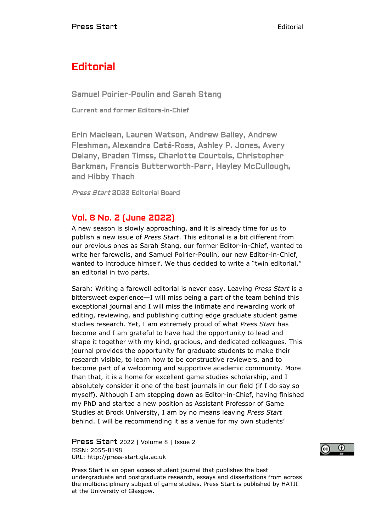# Editorial

Samuel Poirier-Poulin and Sarah Stang

Current and former Editors-in-Chief

Erin Maclean, Lauren Watson, Andrew Bailey, Andrew Fleshman, Alexandra Catá-Ross, Ashley P. Jones, Avery Delany, Braden Timss, Charlotte Courtois, Christopher Barkman, Francis Butterworth-Parr, Hayley McCullough, and Hibby Thach

Press Start 2022 Editorial Board

## Vol. 8 No. 2 (June 2022)

A new season is slowly approaching, and it is already time for us to publish a new issue of *Press Start*. This editorial is a bit different from our previous ones as Sarah Stang, our former Editor-in-Chief, wanted to write her farewells, and Samuel Poirier-Poulin, our new Editor-in-Chief, wanted to introduce himself. We thus decided to write a "twin editorial," an editorial in two parts.

Sarah: Writing a farewell editorial is never easy. Leaving *Press Start* is a bittersweet experience—I will miss being a part of the team behind this exceptional journal and I will miss the intimate and rewarding work of editing, reviewing, and publishing cutting edge graduate student game studies research. Yet, I am extremely proud of what *Press Start* has become and I am grateful to have had the opportunity to lead and shape it together with my kind, gracious, and dedicated colleagues. This journal provides the opportunity for graduate students to make their research visible, to learn how to be constructive reviewers, and to become part of a welcoming and supportive academic community. More than that, it is a home for excellent game studies scholarship, and I absolutely consider it one of the best journals in our field (if I do say so myself). Although I am stepping down as Editor-in-Chief, having finished my PhD and started a new position as Assistant Professor of Game Studies at Brock University, I am by no means leaving *Press Start*  behind. I will be recommending it as a venue for my own students'

Press Start 2022 | Volume 8 | Issue 2 ISSN: 2055-8198 URL: http://press-start.gla.ac.uk



Press Start is an open access student journal that publishes the best undergraduate and postgraduate research, essays and dissertations from across the multidisciplinary subject of game studies. Press Start is published by HATII at the University of Glasgow.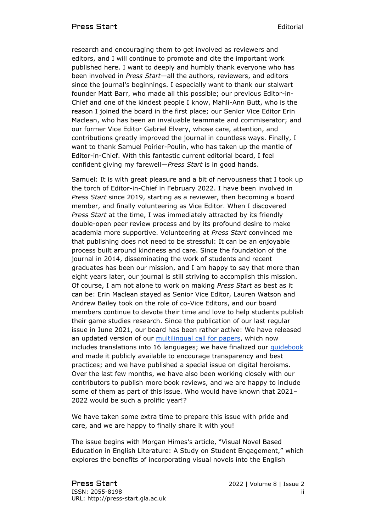#### Press Start Editorial Accounts and the Editorial Accounts and Editorial Accounts and Editorial Accounts and Editorial Accounts and Editorial Accounts and Editorial Accounts and Editorial Accounts and Editorial Accounts and

research and encouraging them to get involved as reviewers and editors, and I will continue to promote and cite the important work published here. I want to deeply and humbly thank everyone who has been involved in *Press Start*—all the authors, reviewers, and editors since the journal's beginnings. I especially want to thank our stalwart founder Matt Barr, who made all this possible; our previous Editor-in-Chief and one of the kindest people I know, Mahli-Ann Butt, who is the reason I joined the board in the first place; our Senior Vice Editor Erin Maclean, who has been an invaluable teammate and commiserator; and our former Vice Editor Gabriel Elvery, whose care, attention, and contributions greatly improved the journal in countless ways. Finally, I want to thank Samuel Poirier-Poulin, who has taken up the mantle of Editor-in-Chief. With this fantastic current editorial board, I feel confident giving my farewell—*Press Start* is in good hands.

Samuel: It is with great pleasure and a bit of nervousness that I took up the torch of Editor-in-Chief in February 2022. I have been involved in *Press Start* since 2019, starting as a reviewer, then becoming a board member, and finally volunteering as Vice Editor. When I discovered *Press Start* at the time, I was immediately attracted by its friendly double-open peer review process and by its profound desire to make academia more supportive. Volunteering at *Press Start* convinced me that publishing does not need to be stressful: It can be an enjoyable process built around kindness and care. Since the foundation of the journal in 2014, disseminating the work of students and recent graduates has been our mission, and I am happy to say that more than eight years later, our journal is still striving to accomplish this mission. Of course, I am not alone to work on making *Press Start* as best as it can be: Erin Maclean stayed as Senior Vice Editor, Lauren Watson and Andrew Bailey took on the role of co-Vice Editors, and our board members continue to devote their time and love to help students publish their game studies research. Since the publication of our last regular issue in June 2021, our board has been rather active: We have released an updated version of our [multilingual call for papers,](https://press-start.gla.ac.uk/index.php/press-start/announcement/view/26) which now includes translations into 16 languages; we have finalized our *guidebook* and made it publicly available to encourage transparency and best practices; and we have published a special issue on digital heroisms. Over the last few months, we have also been working closely with our contributors to publish more book reviews, and we are happy to include some of them as part of this issue. Who would have known that 2021– 2022 would be such a prolific year!?

We have taken some extra time to prepare this issue with pride and care, and we are happy to finally share it with you!

The issue begins with Morgan Himes's article, "Visual Novel Based Education in English Literature: A Study on Student Engagement," which explores the benefits of incorporating visual novels into the English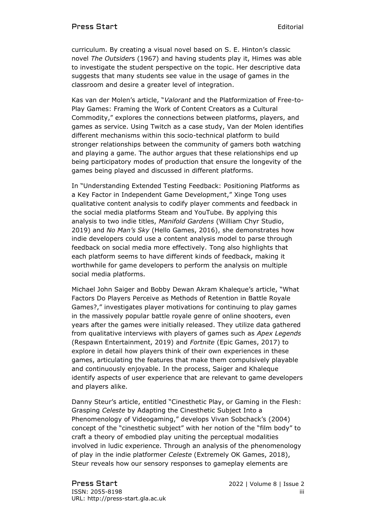#### Press Start Editorial Accounts and the Editorial Accounts and Editorial Accounts and Editorial Accounts and Editorial Accounts and Editorial Accounts and Editorial Accounts and Editorial Accounts and Editorial Accounts and

curriculum. By creating a visual novel based on S. E. Hinton's classic novel *The Outsider*s (1967) and having students play it, Himes was able to investigate the student perspective on the topic. Her descriptive data suggests that many students see value in the usage of games in the classroom and desire a greater level of integration.

Kas van der Molen's article, "*Valorant* and the Platformization of Free-to-Play Games: Framing the Work of Content Creators as a Cultural Commodity," explores the connections between platforms, players, and games as service. Using Twitch as a case study, Van der Molen identifies different mechanisms within this socio-technical platform to build stronger relationships between the community of gamers both watching and playing a game. The author argues that these relationships end up being participatory modes of production that ensure the longevity of the games being played and discussed in different platforms.

In "Understanding Extended Testing Feedback: Positioning Platforms as a Key Factor in Independent Game Development," Xinge Tong uses qualitative content analysis to codify player comments and feedback in the social media platforms Steam and YouTube. By applying this analysis to two indie titles, *Manifold Gardens* (William Chyr Studio, 2019) and *No Man's Sky* (Hello Games, 2016), she demonstrates how indie developers could use a content analysis model to parse through feedback on social media more effectively. Tong also highlights that each platform seems to have different kinds of feedback, making it worthwhile for game developers to perform the analysis on multiple social media platforms.

Michael John Saiger and Bobby Dewan Akram Khaleque's article, "What Factors Do Players Perceive as Methods of Retention in Battle Royale Games?," investigates player motivations for continuing to play games in the massively popular battle royale genre of online shooters, even years after the games were initially released. They utilize data gathered from qualitative interviews with players of games such as *Apex Legends* (Respawn Entertainment, 2019) and *Fortnite* (Epic Games, 2017) to explore in detail how players think of their own experiences in these games, articulating the features that make them compulsively playable and continuously enjoyable. In the process, Saiger and Khaleque identify aspects of user experience that are relevant to game developers and players alike.

Danny Steur's article, entitled "Cinesthetic Play, or Gaming in the Flesh: Grasping *Celeste* by Adapting the Cinesthetic Subject Into a Phenomenology of Videogaming," develops Vivan Sobchack's (2004) concept of the "cinesthetic subject" with her notion of the "film body" to craft a theory of embodied play uniting the perceptual modalities involved in ludic experience. Through an analysis of the phenomenology of play in the indie platformer *Celeste* (Extremely OK Games, 2018), Steur reveals how our sensory responses to gameplay elements are

Press Start 2022 | Volume 8 | Issue 2 ISSN: 2055-8198 iii URL: http://press-start.gla.ac.uk